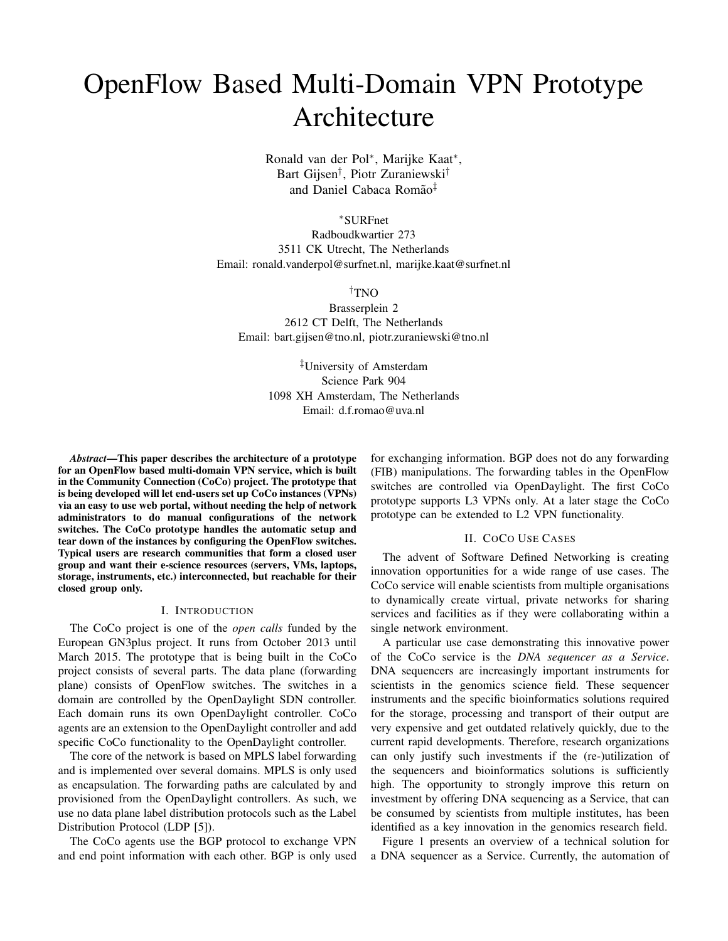# OpenFlow Based Multi-Domain VPN Prototype Architecture

Ronald van der Pol<sup>∗</sup> , Marijke Kaat<sup>∗</sup> , Bart Gijsen† , Piotr Zuraniewski† and Daniel Cabaca Romão<sup>‡</sup>

<sup>∗</sup>SURFnet

Radboudkwartier 273 3511 CK Utrecht, The Netherlands Email: ronald.vanderpol@surfnet.nl, marijke.kaat@surfnet.nl

†TNO

Brasserplein 2 2612 CT Delft, The Netherlands Email: bart.gijsen@tno.nl, piotr.zuraniewski@tno.nl

> ‡University of Amsterdam Science Park 904 1098 XH Amsterdam, The Netherlands Email: d.f.romao@uva.nl

*Abstract*—This paper describes the architecture of a prototype for an OpenFlow based multi-domain VPN service, which is built in the Community Connection (CoCo) project. The prototype that is being developed will let end-users set up CoCo instances (VPNs) via an easy to use web portal, without needing the help of network administrators to do manual configurations of the network switches. The CoCo prototype handles the automatic setup and tear down of the instances by configuring the OpenFlow switches. Typical users are research communities that form a closed user group and want their e-science resources (servers, VMs, laptops, storage, instruments, etc.) interconnected, but reachable for their closed group only.

#### I. INTRODUCTION

The CoCo project is one of the *open calls* funded by the European GN3plus project. It runs from October 2013 until March 2015. The prototype that is being built in the CoCo project consists of several parts. The data plane (forwarding plane) consists of OpenFlow switches. The switches in a domain are controlled by the OpenDaylight SDN controller. Each domain runs its own OpenDaylight controller. CoCo agents are an extension to the OpenDaylight controller and add specific CoCo functionality to the OpenDaylight controller.

The core of the network is based on MPLS label forwarding and is implemented over several domains. MPLS is only used as encapsulation. The forwarding paths are calculated by and provisioned from the OpenDaylight controllers. As such, we use no data plane label distribution protocols such as the Label Distribution Protocol (LDP [5]).

The CoCo agents use the BGP protocol to exchange VPN and end point information with each other. BGP is only used for exchanging information. BGP does not do any forwarding (FIB) manipulations. The forwarding tables in the OpenFlow switches are controlled via OpenDaylight. The first CoCo prototype supports L3 VPNs only. At a later stage the CoCo prototype can be extended to L2 VPN functionality.

## II. COCO USE CASES

The advent of Software Defined Networking is creating innovation opportunities for a wide range of use cases. The CoCo service will enable scientists from multiple organisations to dynamically create virtual, private networks for sharing services and facilities as if they were collaborating within a single network environment.

A particular use case demonstrating this innovative power of the CoCo service is the *DNA sequencer as a Service*. DNA sequencers are increasingly important instruments for scientists in the genomics science field. These sequencer instruments and the specific bioinformatics solutions required for the storage, processing and transport of their output are very expensive and get outdated relatively quickly, due to the current rapid developments. Therefore, research organizations can only justify such investments if the (re-)utilization of the sequencers and bioinformatics solutions is sufficiently high. The opportunity to strongly improve this return on investment by offering DNA sequencing as a Service, that can be consumed by scientists from multiple institutes, has been identified as a key innovation in the genomics research field.

Figure 1 presents an overview of a technical solution for a DNA sequencer as a Service. Currently, the automation of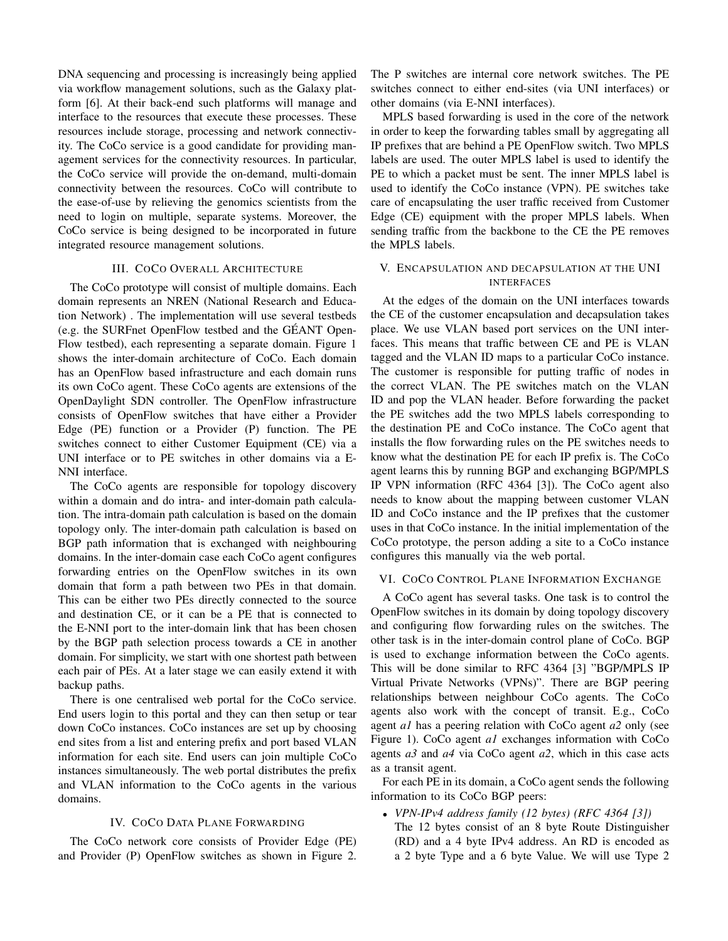DNA sequencing and processing is increasingly being applied via workflow management solutions, such as the Galaxy platform [6]. At their back-end such platforms will manage and interface to the resources that execute these processes. These resources include storage, processing and network connectivity. The CoCo service is a good candidate for providing management services for the connectivity resources. In particular, the CoCo service will provide the on-demand, multi-domain connectivity between the resources. CoCo will contribute to the ease-of-use by relieving the genomics scientists from the need to login on multiple, separate systems. Moreover, the CoCo service is being designed to be incorporated in future integrated resource management solutions.

### III. COCO OVERALL ARCHITECTURE

The CoCo prototype will consist of multiple domains. Each domain represents an NREN (National Research and Education Network) . The implementation will use several testbeds (e.g. the SURFnet OpenFlow testbed and the GEANT Open- ´ Flow testbed), each representing a separate domain. Figure 1 shows the inter-domain architecture of CoCo. Each domain has an OpenFlow based infrastructure and each domain runs its own CoCo agent. These CoCo agents are extensions of the OpenDaylight SDN controller. The OpenFlow infrastructure consists of OpenFlow switches that have either a Provider Edge (PE) function or a Provider (P) function. The PE switches connect to either Customer Equipment (CE) via a UNI interface or to PE switches in other domains via a E-NNI interface.

The CoCo agents are responsible for topology discovery within a domain and do intra- and inter-domain path calculation. The intra-domain path calculation is based on the domain topology only. The inter-domain path calculation is based on BGP path information that is exchanged with neighbouring domains. In the inter-domain case each CoCo agent configures forwarding entries on the OpenFlow switches in its own domain that form a path between two PEs in that domain. This can be either two PEs directly connected to the source and destination CE, or it can be a PE that is connected to the E-NNI port to the inter-domain link that has been chosen by the BGP path selection process towards a CE in another domain. For simplicity, we start with one shortest path between each pair of PEs. At a later stage we can easily extend it with backup paths.

There is one centralised web portal for the CoCo service. End users login to this portal and they can then setup or tear down CoCo instances. CoCo instances are set up by choosing end sites from a list and entering prefix and port based VLAN information for each site. End users can join multiple CoCo instances simultaneously. The web portal distributes the prefix and VLAN information to the CoCo agents in the various domains.

#### IV. COCO DATA PLANE FORWARDING

The CoCo network core consists of Provider Edge (PE) and Provider (P) OpenFlow switches as shown in Figure 2. The P switches are internal core network switches. The PE switches connect to either end-sites (via UNI interfaces) or other domains (via E-NNI interfaces).

MPLS based forwarding is used in the core of the network in order to keep the forwarding tables small by aggregating all IP prefixes that are behind a PE OpenFlow switch. Two MPLS labels are used. The outer MPLS label is used to identify the PE to which a packet must be sent. The inner MPLS label is used to identify the CoCo instance (VPN). PE switches take care of encapsulating the user traffic received from Customer Edge (CE) equipment with the proper MPLS labels. When sending traffic from the backbone to the CE the PE removes the MPLS labels.

## V. ENCAPSULATION AND DECAPSULATION AT THE UNI INTERFACES

At the edges of the domain on the UNI interfaces towards the CE of the customer encapsulation and decapsulation takes place. We use VLAN based port services on the UNI interfaces. This means that traffic between CE and PE is VLAN tagged and the VLAN ID maps to a particular CoCo instance. The customer is responsible for putting traffic of nodes in the correct VLAN. The PE switches match on the VLAN ID and pop the VLAN header. Before forwarding the packet the PE switches add the two MPLS labels corresponding to the destination PE and CoCo instance. The CoCo agent that installs the flow forwarding rules on the PE switches needs to know what the destination PE for each IP prefix is. The CoCo agent learns this by running BGP and exchanging BGP/MPLS IP VPN information (RFC 4364 [3]). The CoCo agent also needs to know about the mapping between customer VLAN ID and CoCo instance and the IP prefixes that the customer uses in that CoCo instance. In the initial implementation of the CoCo prototype, the person adding a site to a CoCo instance configures this manually via the web portal.

#### VI. COCO CONTROL PLANE INFORMATION EXCHANGE

A CoCo agent has several tasks. One task is to control the OpenFlow switches in its domain by doing topology discovery and configuring flow forwarding rules on the switches. The other task is in the inter-domain control plane of CoCo. BGP is used to exchange information between the CoCo agents. This will be done similar to RFC 4364 [3] "BGP/MPLS IP Virtual Private Networks (VPNs)". There are BGP peering relationships between neighbour CoCo agents. The CoCo agents also work with the concept of transit. E.g., CoCo agent *a1* has a peering relation with CoCo agent *a2* only (see Figure 1). CoCo agent *a1* exchanges information with CoCo agents *a3* and *a4* via CoCo agent *a2*, which in this case acts as a transit agent.

For each PE in its domain, a CoCo agent sends the following information to its CoCo BGP peers:

• *VPN-IPv4 address family (12 bytes) (RFC 4364 [3])*

The 12 bytes consist of an 8 byte Route Distinguisher (RD) and a 4 byte IPv4 address. An RD is encoded as a 2 byte Type and a 6 byte Value. We will use Type 2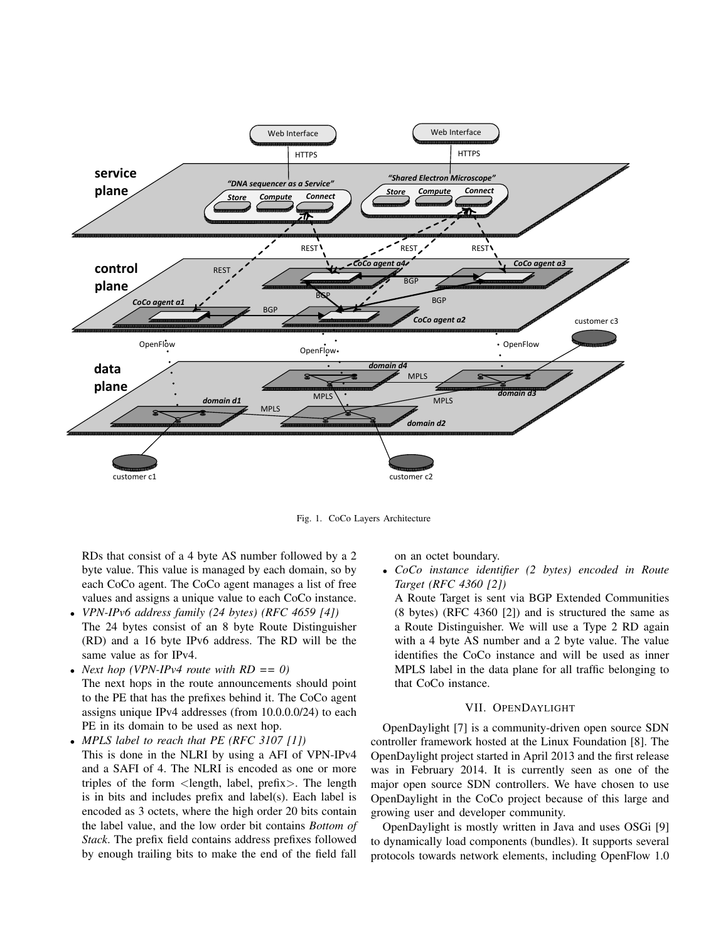

Fig. 1. CoCo Layers Architecture

RDs that consist of a 4 byte AS number followed by a 2 byte value. This value is managed by each domain, so by each CoCo agent. The CoCo agent manages a list of free values and assigns a unique value to each CoCo instance.

- *VPN-IPv6 address family (24 bytes) (RFC 4659 [4])* The 24 bytes consist of an 8 byte Route Distinguisher (RD) and a 16 byte IPv6 address. The RD will be the same value as for IPv4.
- *Next hop (VPN-IPv4 route with RD == 0)* The next hops in the route announcements should point to the PE that has the prefixes behind it. The CoCo agent assigns unique IPv4 addresses (from 10.0.0.0/24) to each PE in its domain to be used as next hop.
- *MPLS label to reach that PE (RFC 3107 [1])* This is done in the NLRI by using a AFI of VPN-IPv4 and a SAFI of 4. The NLRI is encoded as one or more triples of the form  $\langle$  length, label, prefix $\rangle$ . The length is in bits and includes prefix and label(s). Each label is encoded as 3 octets, where the high order 20 bits contain the label value, and the low order bit contains *Bottom of Stack*. The prefix field contains address prefixes followed by enough trailing bits to make the end of the field fall

on an octet boundary.

• *CoCo instance identifier (2 bytes) encoded in Route Target (RFC 4360 [2])*

A Route Target is sent via BGP Extended Communities (8 bytes) (RFC 4360 [2]) and is structured the same as a Route Distinguisher. We will use a Type 2 RD again with a 4 byte AS number and a 2 byte value. The value identifies the CoCo instance and will be used as inner MPLS label in the data plane for all traffic belonging to that CoCo instance.

## VII. OPENDAYLIGHT

OpenDaylight [7] is a community-driven open source SDN controller framework hosted at the Linux Foundation [8]. The OpenDaylight project started in April 2013 and the first release was in February 2014. It is currently seen as one of the major open source SDN controllers. We have chosen to use OpenDaylight in the CoCo project because of this large and growing user and developer community.

OpenDaylight is mostly written in Java and uses OSGi [9] to dynamically load components (bundles). It supports several protocols towards network elements, including OpenFlow 1.0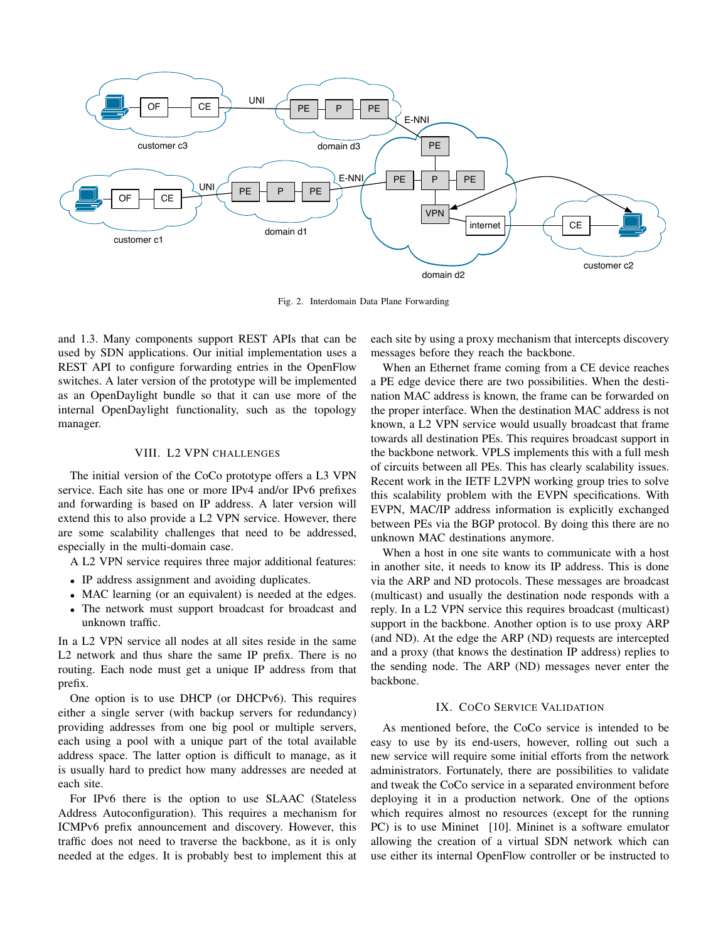

Fig. 2. Interdomain Data Plane Forwarding

and 1.3. Many components support REST APIs that can be used by SDN applications. Our initial implementation uses a REST API to configure forwarding entries in the OpenFlow switches. A later version of the prototype will be implemented as an OpenDaylight bundle so that it can use more of the internal OpenDaylight functionality, such as the topology manager.

### VIII. L2 VPN CHALLENGES

The initial version of the CoCo prototype offers a L3 VPN service. Each site has one or more IPv4 and/or IPv6 prefixes and forwarding is based on IP address. A later version will extend this to also provide a L2 VPN service. However, there are some scalability challenges that need to be addressed, especially in the multi-domain case.

A L2 VPN service requires three major additional features:

- IP address assignment and avoiding duplicates.
- MAC learning (or an equivalent) is needed at the edges.
- The network must support broadcast for broadcast and unknown traffic.

In a L2 VPN service all nodes at all sites reside in the same L2 network and thus share the same IP prefix. There is no routing. Each node must get a unique IP address from that prefix.

One option is to use DHCP (or DHCPv6). This requires either a single server (with backup servers for redundancy) providing addresses from one big pool or multiple servers, each using a pool with a unique part of the total available address space. The latter option is difficult to manage, as it is usually hard to predict how many addresses are needed at each site.

For IPv6 there is the option to use SLAAC (Stateless Address Autoconfiguration). This requires a mechanism for ICMPv6 prefix announcement and discovery. However, this traffic does not need to traverse the backbone, as it is only needed at the edges. It is probably best to implement this at

each site by using a proxy mechanism that intercepts discovery messages before they reach the backbone.

When an Ethernet frame coming from a CE device reaches a PE edge device there are two possibilities. When the destination MAC address is known, the frame can be forwarded on the proper interface. When the destination MAC address is not known, a L2 VPN service would usually broadcast that frame towards all destination PEs. This requires broadcast support in the backbone network. VPLS implements this with a full mesh of circuits between all PEs. This has clearly scalability issues. Recent work in the IETF L2VPN working group tries to solve this scalability problem with the EVPN specifications. With EVPN, MAC/IP address information is explicitly exchanged between PEs via the BGP protocol. By doing this there are no unknown MAC destinations anymore.

When a host in one site wants to communicate with a host in another site, it needs to know its IP address. This is done via the ARP and ND protocols. These messages are broadcast (multicast) and usually the destination node responds with a reply. In a L2 VPN service this requires broadcast (multicast) support in the backbone. Another option is to use proxy ARP (and ND). At the edge the ARP (ND) requests are intercepted and a proxy (that knows the destination IP address) replies to the sending node. The ARP (ND) messages never enter the backbone.

## IX. COCO SERVICE VALIDATION

As mentioned before, the CoCo service is intended to be easy to use by its end-users, however, rolling out such a new service will require some initial efforts from the network administrators. Fortunately, there are possibilities to validate and tweak the CoCo service in a separated environment before deploying it in a production network. One of the options which requires almost no resources (except for the running PC) is to use Mininet [10]. Mininet is a software emulator allowing the creation of a virtual SDN network which can use either its internal OpenFlow controller or be instructed to